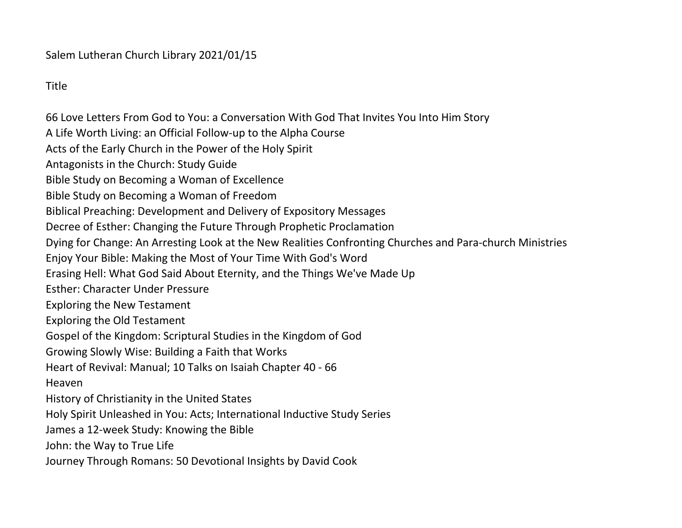Title

66 Love Letters From God to You: a Conversation With God That Invites You Into Him Story A Life Worth Living: an Official Follow-up to the Alpha Course Acts of the Early Church in the Power of the Holy Spirit Antagonists in the Church: Study Guide Bible Study on Becoming a Woman of Excellence Bible Study on Becoming a Woman of Freedom Biblical Preaching: Development and Delivery of Expository Messages Decree of Esther: Changing the Future Through Prophetic Proclamation Dying for Change: An Arresting Look at the New Realities Confronting Churches and Para-church Ministries Enjoy Your Bible: Making the Most of Your Time With God's Word Erasing Hell: What God Said About Eternity, and the Things We've Made Up Esther: Character Under Pressure Exploring the New Testament Exploring the Old Testament Gospel of the Kingdom: Scriptural Studies in the Kingdom of God Growing Slowly Wise: Building a Faith that Works Heart of Revival: Manual; 10 Talks on Isaiah Chapter 40 - 66 Heaven History of Christianity in the United States Holy Spirit Unleashed in You: Acts; International Inductive Study Series James a 12-week Study: Knowing the Bible John: the Way to True Life Journey Through Romans: 50 Devotional Insights by David Cook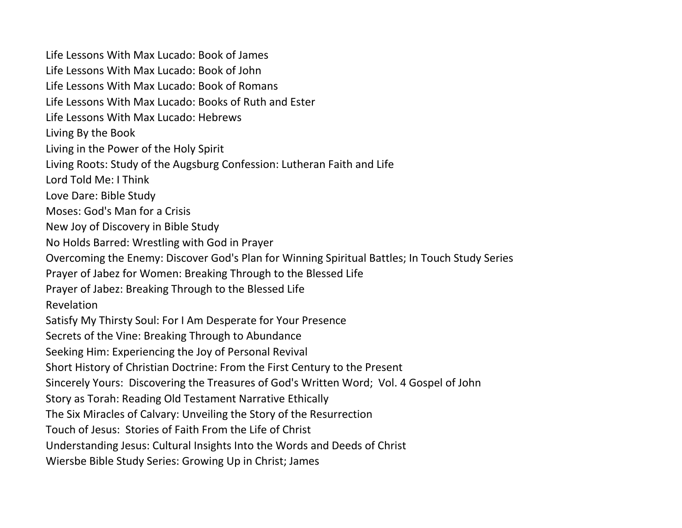Life Lessons With Max Lucado: Book of James Life Lessons With Max Lucado: Book of John Life Lessons With Max Lucado: Book of Romans Life Lessons With Max Lucado: Books of Ruth and Ester Life Lessons With Max Lucado: Hebrews Living By the Book Living in the Power of the Holy Spirit Living Roots: Study of the Augsburg Confession: Lutheran Faith and Life Lord Told Me: I Think Love Dare: Bible Study Moses: God's Man for a Crisis New Joy of Discovery in Bible Study No Holds Barred: Wrestling with God in Prayer Overcoming the Enemy: Discover God's Plan for Winning Spiritual Battles; In Touch Study Series Prayer of Jabez for Women: Breaking Through to the Blessed Life Prayer of Jabez: Breaking Through to the Blessed Life Revelation Satisfy My Thirsty Soul: For I Am Desperate for Your Presence Secrets of the Vine: Breaking Through to Abundance Seeking Him: Experiencing the Joy of Personal Revival Short History of Christian Doctrine: From the First Century to the Present Sincerely Yours: Discovering the Treasures of God's Written Word; Vol. 4 Gospel of John Story as Torah: Reading Old Testament Narrative Ethically The Six Miracles of Calvary: Unveiling the Story of the Resurrection Touch of Jesus: Stories of Faith From the Life of Christ Understanding Jesus: Cultural Insights Into the Words and Deeds of Christ Wiersbe Bible Study Series: Growing Up in Christ; James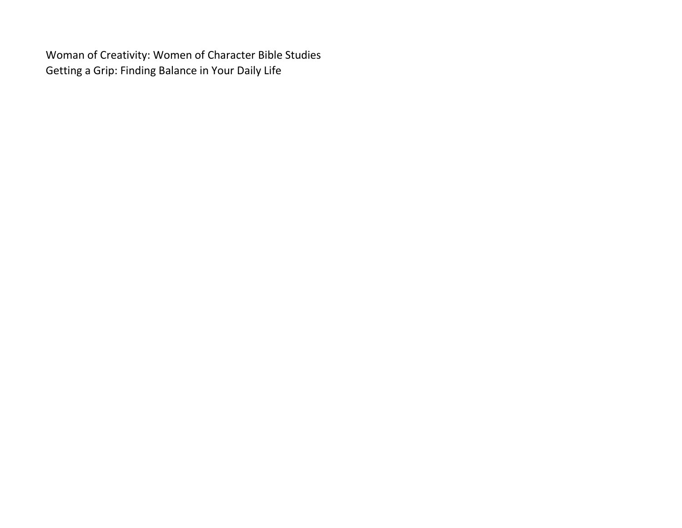Woman of Creativity: Women of Character Bible Studies Getting a Grip: Finding Balance in Your Daily Life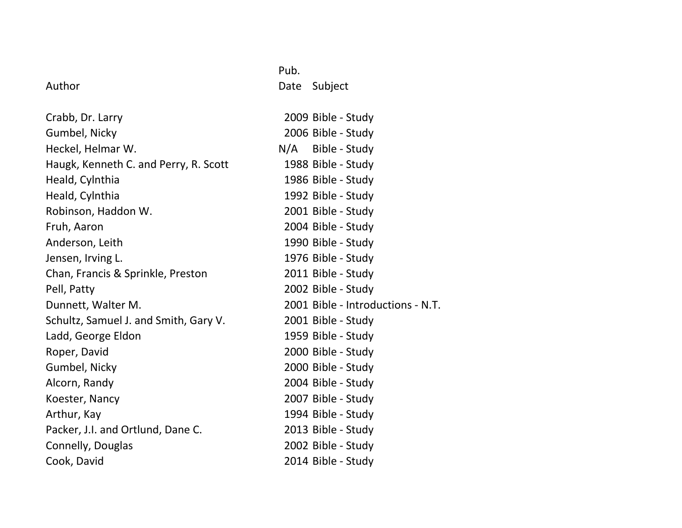|                                       | Pub.                              |
|---------------------------------------|-----------------------------------|
| Author                                | Date<br>Subject                   |
| Crabb, Dr. Larry                      | 2009 Bible - Study                |
| Gumbel, Nicky                         | 2006 Bible - Study                |
| Heckel, Helmar W.                     | N/A Bible - Study                 |
| Haugk, Kenneth C. and Perry, R. Scott | 1988 Bible - Study                |
| Heald, Cylnthia                       | 1986 Bible - Study                |
| Heald, Cylnthia                       | 1992 Bible - Study                |
| Robinson, Haddon W.                   | 2001 Bible - Study                |
| Fruh, Aaron                           | 2004 Bible - Study                |
| Anderson, Leith                       | 1990 Bible - Study                |
| Jensen, Irving L.                     | 1976 Bible - Study                |
| Chan, Francis & Sprinkle, Preston     | 2011 Bible - Study                |
| Pell, Patty                           | 2002 Bible - Study                |
| Dunnett, Walter M.                    | 2001 Bible - Introductions - N.T. |
| Schultz, Samuel J. and Smith, Gary V. | 2001 Bible - Study                |
| Ladd, George Eldon                    | 1959 Bible - Study                |
| Roper, David                          | 2000 Bible - Study                |
| Gumbel, Nicky                         | 2000 Bible - Study                |
| Alcorn, Randy                         | 2004 Bible - Study                |
| Koester, Nancy                        | 2007 Bible - Study                |
| Arthur, Kay                           | 1994 Bible - Study                |
| Packer, J.I. and Ortlund, Dane C.     | 2013 Bible - Study                |
| Connelly, Douglas                     | 2002 Bible - Study                |
| Cook, David                           | 2014 Bible - Study                |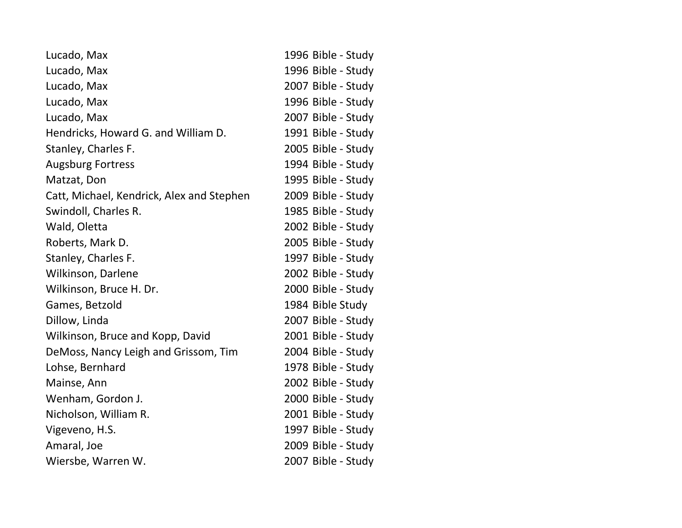| Lucado, Max                               | 1996 Bible - Study |
|-------------------------------------------|--------------------|
| Lucado, Max                               | 1996 Bible - Study |
| Lucado, Max                               | 2007 Bible - Study |
| Lucado, Max                               | 1996 Bible - Study |
| Lucado, Max                               | 2007 Bible - Study |
| Hendricks, Howard G. and William D.       | 1991 Bible - Study |
| Stanley, Charles F.                       | 2005 Bible - Study |
| <b>Augsburg Fortress</b>                  | 1994 Bible - Study |
| Matzat, Don                               | 1995 Bible - Study |
| Catt, Michael, Kendrick, Alex and Stephen | 2009 Bible - Study |
| Swindoll, Charles R.                      | 1985 Bible - Study |
| Wald, Oletta                              | 2002 Bible - Study |
| Roberts, Mark D.                          | 2005 Bible - Study |
| Stanley, Charles F.                       | 1997 Bible - Study |
| Wilkinson, Darlene                        | 2002 Bible - Study |
| Wilkinson, Bruce H. Dr.                   | 2000 Bible - Study |
| Games, Betzold                            | 1984 Bible Study   |
| Dillow, Linda                             | 2007 Bible - Study |
| Wilkinson, Bruce and Kopp, David          | 2001 Bible - Study |
| DeMoss, Nancy Leigh and Grissom, Tim      | 2004 Bible - Study |
| Lohse, Bernhard                           | 1978 Bible - Study |
| Mainse, Ann                               | 2002 Bible - Study |
| Wenham, Gordon J.                         | 2000 Bible - Study |
| Nicholson, William R.                     | 2001 Bible - Study |
| Vigeveno, H.S.                            | 1997 Bible - Study |
| Amaral, Joe                               | 2009 Bible - Study |
| Wiersbe, Warren W.                        | 2007 Bible - Study |